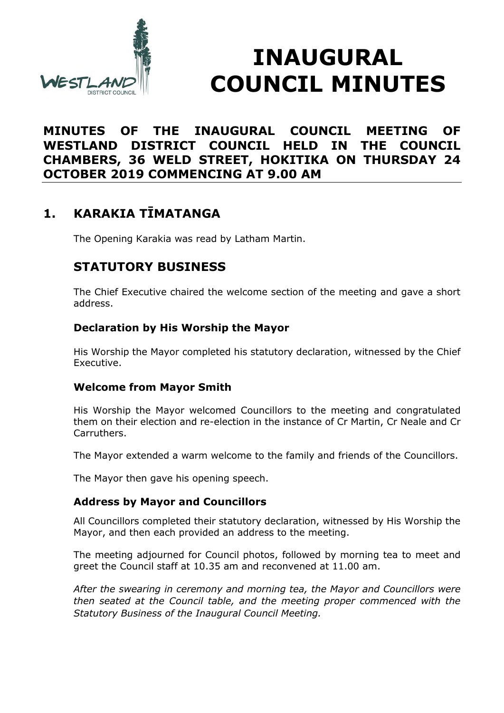

# **INAUGURAL COUNCIL MINUTES**

#### **MINUTES OF THE INAUGURAL COUNCIL MEETING OF WESTLAND DISTRICT COUNCIL HELD IN THE COUNCIL CHAMBERS, 36 WELD STREET, HOKITIKA ON THURSDAY 24 OCTOBER 2019 COMMENCING AT 9.00 AM**

# **1. KARAKIA TĪMATANGA**

The Opening Karakia was read by Latham Martin.

# **STATUTORY BUSINESS**

The Chief Executive chaired the welcome section of the meeting and gave a short address.

#### **Declaration by His Worship the Mayor**

His Worship the Mayor completed his statutory declaration, witnessed by the Chief Executive.

#### **Welcome from Mayor Smith**

His Worship the Mayor welcomed Councillors to the meeting and congratulated them on their election and re-election in the instance of Cr Martin, Cr Neale and Cr Carruthers.

The Mayor extended a warm welcome to the family and friends of the Councillors.

The Mayor then gave his opening speech.

#### **Address by Mayor and Councillors**

All Councillors completed their statutory declaration, witnessed by His Worship the Mayor, and then each provided an address to the meeting.

The meeting adjourned for Council photos, followed by morning tea to meet and greet the Council staff at 10.35 am and reconvened at 11.00 am.

*After the swearing in ceremony and morning tea, the Mayor and Councillors were then seated at the Council table, and the meeting proper commenced with the Statutory Business of the Inaugural Council Meeting.*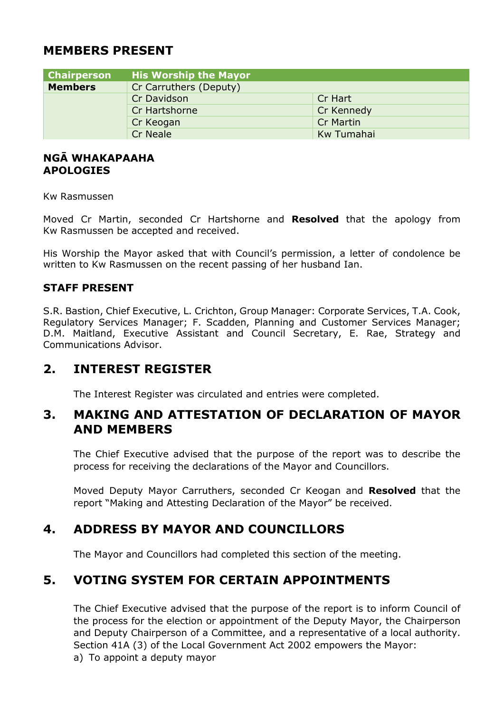#### **MEMBERS PRESENT**

| <b>Chairperson</b> | <b>His Worship the Mayor</b> |                  |
|--------------------|------------------------------|------------------|
| <b>Members</b>     | Cr Carruthers (Deputy)       |                  |
|                    | Cr Davidson                  | Cr Hart          |
|                    | Cr Hartshorne                | Cr Kennedy       |
|                    | Cr Keogan                    | <b>Cr Martin</b> |
|                    | <b>Cr Neale</b>              | Kw Tumahai       |

#### **NGĀ WHAKAPAAHA APOLOGIES**

Kw Rasmussen

Moved Cr Martin, seconded Cr Hartshorne and **Resolved** that the apology from Kw Rasmussen be accepted and received.

His Worship the Mayor asked that with Council's permission, a letter of condolence be written to Kw Rasmussen on the recent passing of her husband Ian.

#### **STAFF PRESENT**

S.R. Bastion, Chief Executive, L. Crichton, Group Manager: Corporate Services, T.A. Cook, Regulatory Services Manager; F. Scadden, Planning and Customer Services Manager; D.M. Maitland, Executive Assistant and Council Secretary, E. Rae, Strategy and Communications Advisor.

#### **2. INTEREST REGISTER**

The Interest Register was circulated and entries were completed.

#### **3. MAKING AND ATTESTATION OF DECLARATION OF MAYOR AND MEMBERS**

The Chief Executive advised that the purpose of the report was to describe the process for receiving the declarations of the Mayor and Councillors.

Moved Deputy Mayor Carruthers, seconded Cr Keogan and **Resolved** that the report "Making and Attesting Declaration of the Mayor" be received.

### **4. ADDRESS BY MAYOR AND COUNCILLORS**

The Mayor and Councillors had completed this section of the meeting.

### **5. VOTING SYSTEM FOR CERTAIN APPOINTMENTS**

The Chief Executive advised that the purpose of the report is to inform Council of the process for the election or appointment of the Deputy Mayor, the Chairperson and Deputy Chairperson of a Committee, and a representative of a local authority. Section 41A (3) of the Local Government Act 2002 empowers the Mayor: a) To appoint a deputy mayor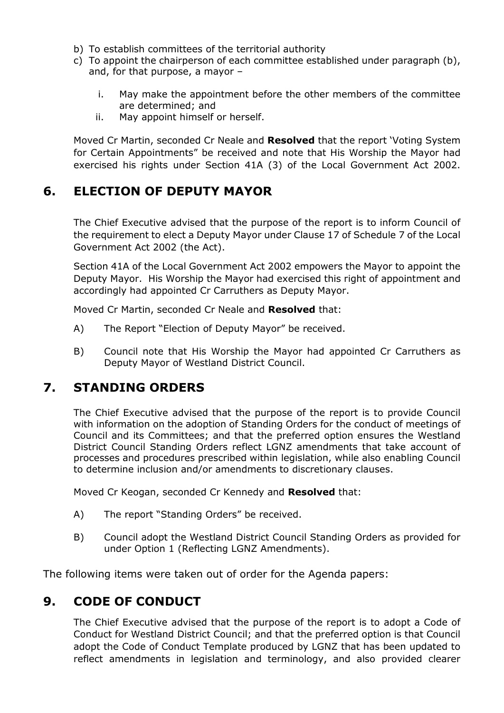- b) To establish committees of the territorial authority
- c) To appoint the chairperson of each committee established under paragraph (b), and, for that purpose, a mayor –
	- i. May make the appointment before the other members of the committee are determined; and
	- ii. May appoint himself or herself.

Moved Cr Martin, seconded Cr Neale and **Resolved** that the report 'Voting System for Certain Appointments" be received and note that His Worship the Mayor had exercised his rights under Section 41A (3) of the Local Government Act 2002.

#### **6. ELECTION OF DEPUTY MAYOR**

The Chief Executive advised that the purpose of the report is to inform Council of the requirement to elect a Deputy Mayor under Clause 17 of Schedule 7 of the Local Government Act 2002 (the Act).

Section 41A of the Local Government Act 2002 empowers the Mayor to appoint the Deputy Mayor. His Worship the Mayor had exercised this right of appointment and accordingly had appointed Cr Carruthers as Deputy Mayor.

Moved Cr Martin, seconded Cr Neale and **Resolved** that:

- A) The Report "Election of Deputy Mayor" be received.
- B) Council note that His Worship the Mayor had appointed Cr Carruthers as Deputy Mayor of Westland District Council.

#### **7. STANDING ORDERS**

The Chief Executive advised that the purpose of the report is to provide Council with information on the adoption of Standing Orders for the conduct of meetings of Council and its Committees; and that the preferred option ensures the Westland District Council Standing Orders reflect LGNZ amendments that take account of processes and procedures prescribed within legislation, while also enabling Council to determine inclusion and/or amendments to discretionary clauses.

Moved Cr Keogan, seconded Cr Kennedy and **Resolved** that:

- A) The report "Standing Orders" be received.
- B) Council adopt the Westland District Council Standing Orders as provided for under Option 1 (Reflecting LGNZ Amendments).

The following items were taken out of order for the Agenda papers:

#### **9. CODE OF CONDUCT**

The Chief Executive advised that the purpose of the report is to adopt a Code of Conduct for Westland District Council; and that the preferred option is that Council adopt the Code of Conduct Template produced by LGNZ that has been updated to reflect amendments in legislation and terminology, and also provided clearer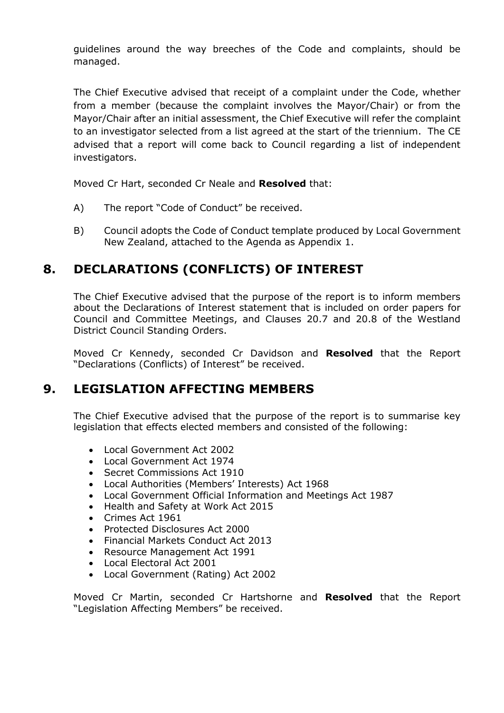guidelines around the way breeches of the Code and complaints, should be managed.

The Chief Executive advised that receipt of a complaint under the Code, whether from a member (because the complaint involves the Mayor/Chair) or from the Mayor/Chair after an initial assessment, the Chief Executive will refer the complaint to an investigator selected from a list agreed at the start of the triennium. The CE advised that a report will come back to Council regarding a list of independent investigators.

Moved Cr Hart, seconded Cr Neale and **Resolved** that:

- A) The report "Code of Conduct" be received.
- B) Council adopts the Code of Conduct template produced by Local Government New Zealand, attached to the Agenda as Appendix 1.

# **8. DECLARATIONS (CONFLICTS) OF INTEREST**

The Chief Executive advised that the purpose of the report is to inform members about the Declarations of Interest statement that is included on order papers for Council and Committee Meetings, and Clauses 20.7 and 20.8 of the Westland District Council Standing Orders.

Moved Cr Kennedy, seconded Cr Davidson and **Resolved** that the Report "Declarations (Conflicts) of Interest" be received.

#### **9. LEGISLATION AFFECTING MEMBERS**

The Chief Executive advised that the purpose of the report is to summarise key legislation that effects elected members and consisted of the following:

- Local Government Act 2002
- Local Government Act 1974
- Secret Commissions Act 1910
- Local Authorities (Members' Interests) Act 1968
- Local Government Official Information and Meetings Act 1987
- Health and Safety at Work Act 2015
- Crimes Act 1961
- Protected Disclosures Act 2000
- Financial Markets Conduct Act 2013
- Resource Management Act 1991
- Local Electoral Act 2001
- Local Government (Rating) Act 2002

Moved Cr Martin, seconded Cr Hartshorne and **Resolved** that the Report "Legislation Affecting Members" be received.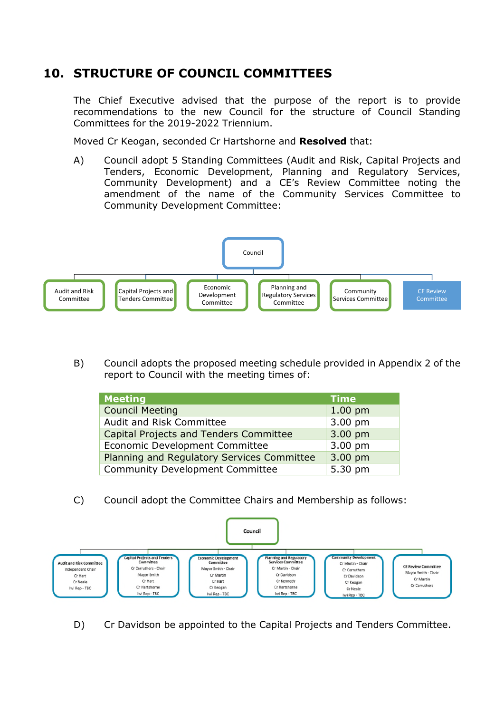# **10. STRUCTURE OF COUNCIL COMMITTEES**

The Chief Executive advised that the purpose of the report is to provide recommendations to the new Council for the structure of Council Standing Committees for the 2019-2022 Triennium.

Moved Cr Keogan, seconded Cr Hartshorne and **Resolved** that:

A) Council adopt 5 Standing Committees (Audit and Risk, Capital Projects and Tenders, Economic Development, Planning and Regulatory Services, Community Development) and a CE's Review Committee noting the amendment of the name of the Community Services Committee to Community Development Committee:



B) Council adopts the proposed meeting schedule provided in Appendix 2 of the report to Council with the meeting times of:

| <b>Meeting</b>                             | <b>Time</b> |
|--------------------------------------------|-------------|
| <b>Council Meeting</b>                     | $1.00$ pm   |
| Audit and Risk Committee                   | 3.00 pm     |
| Capital Projects and Tenders Committee     | 3.00 pm     |
| Economic Development Committee             | 3.00 pm     |
| Planning and Regulatory Services Committee | 3.00 pm     |
| <b>Community Development Committee</b>     | 5.30 pm     |

C) Council adopt the Committee Chairs and Membership as follows:



D) Cr Davidson be appointed to the Capital Projects and Tenders Committee.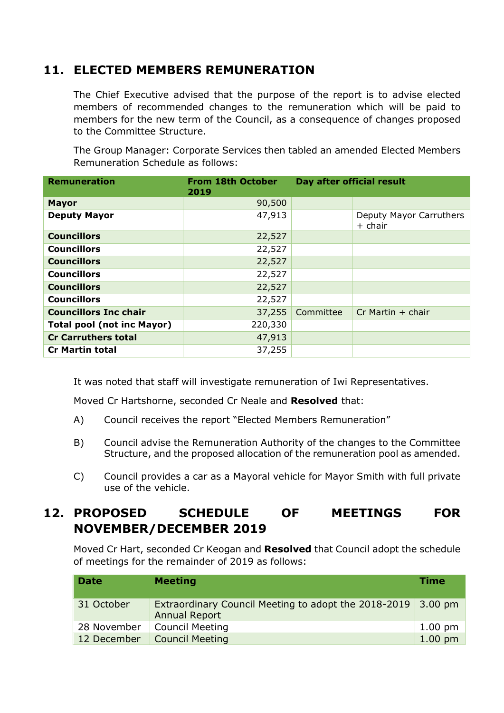# **11. ELECTED MEMBERS REMUNERATION**

The Chief Executive advised that the purpose of the report is to advise elected members of recommended changes to the remuneration which will be paid to members for the new term of the Council, as a consequence of changes proposed to the Committee Structure.

The Group Manager: Corporate Services then tabled an amended Elected Members Remuneration Schedule as follows:

| <b>Remuneration</b>               | <b>From 18th October</b><br>2019 | Day after official result |                                    |
|-----------------------------------|----------------------------------|---------------------------|------------------------------------|
| <b>Mayor</b>                      | 90,500                           |                           |                                    |
| <b>Deputy Mayor</b>               | 47,913                           |                           | Deputy Mayor Carruthers<br>+ chair |
| <b>Councillors</b>                | 22,527                           |                           |                                    |
| <b>Councillors</b>                | 22,527                           |                           |                                    |
| <b>Councillors</b>                | 22,527                           |                           |                                    |
| <b>Councillors</b>                | 22,527                           |                           |                                    |
| <b>Councillors</b>                | 22,527                           |                           |                                    |
| <b>Councillors</b>                | 22,527                           |                           |                                    |
| <b>Councillors Inc chair</b>      | 37,255                           | Committee                 | $Cr$ Martin $+$ chair              |
| <b>Total pool (not inc Mayor)</b> | 220,330                          |                           |                                    |
| <b>Cr Carruthers total</b>        | 47,913                           |                           |                                    |
| <b>Cr Martin total</b>            | 37,255                           |                           |                                    |

It was noted that staff will investigate remuneration of Iwi Representatives.

Moved Cr Hartshorne, seconded Cr Neale and **Resolved** that:

- A) Council receives the report "Elected Members Remuneration"
- B) Council advise the Remuneration Authority of the changes to the Committee Structure, and the proposed allocation of the remuneration pool as amended.
- C) Council provides a car as a Mayoral vehicle for Mayor Smith with full private use of the vehicle.

# **12. PROPOSED SCHEDULE OF MEETINGS FOR NOVEMBER/DECEMBER 2019**

Moved Cr Hart, seconded Cr Keogan and **Resolved** that Council adopt the schedule of meetings for the remainder of 2019 as follows:

| <b>Date</b> | <b>Meeting</b>                                                                       | Time              |
|-------------|--------------------------------------------------------------------------------------|-------------------|
| 31 October  | Extraordinary Council Meeting to adopt the 2018-2019 3.00 pm<br><b>Annual Report</b> |                   |
| 28 November | <b>Council Meeting</b>                                                               | $1.00 \text{ pm}$ |
| 12 December | <b>Council Meeting</b>                                                               | $1.00$ pm         |